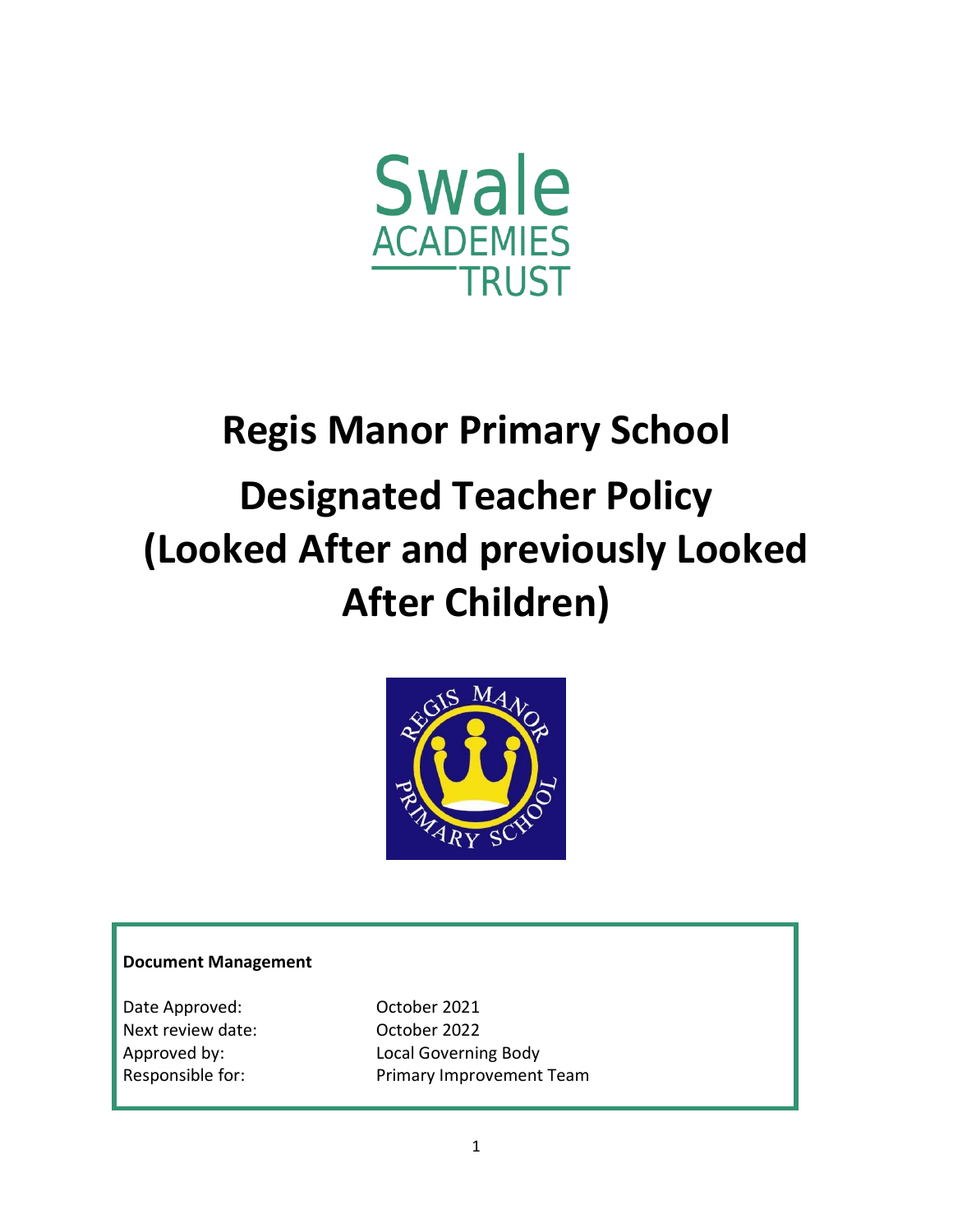

# **Regis Manor Primary School Designated Teacher Policy (Looked After and previously Looked After Children)**



### **Document Management**

Date Approved: Case Corober 2021 Next review date: Coctober 2022

Approved by: Local Governing Body Responsible for: Primary Improvement Team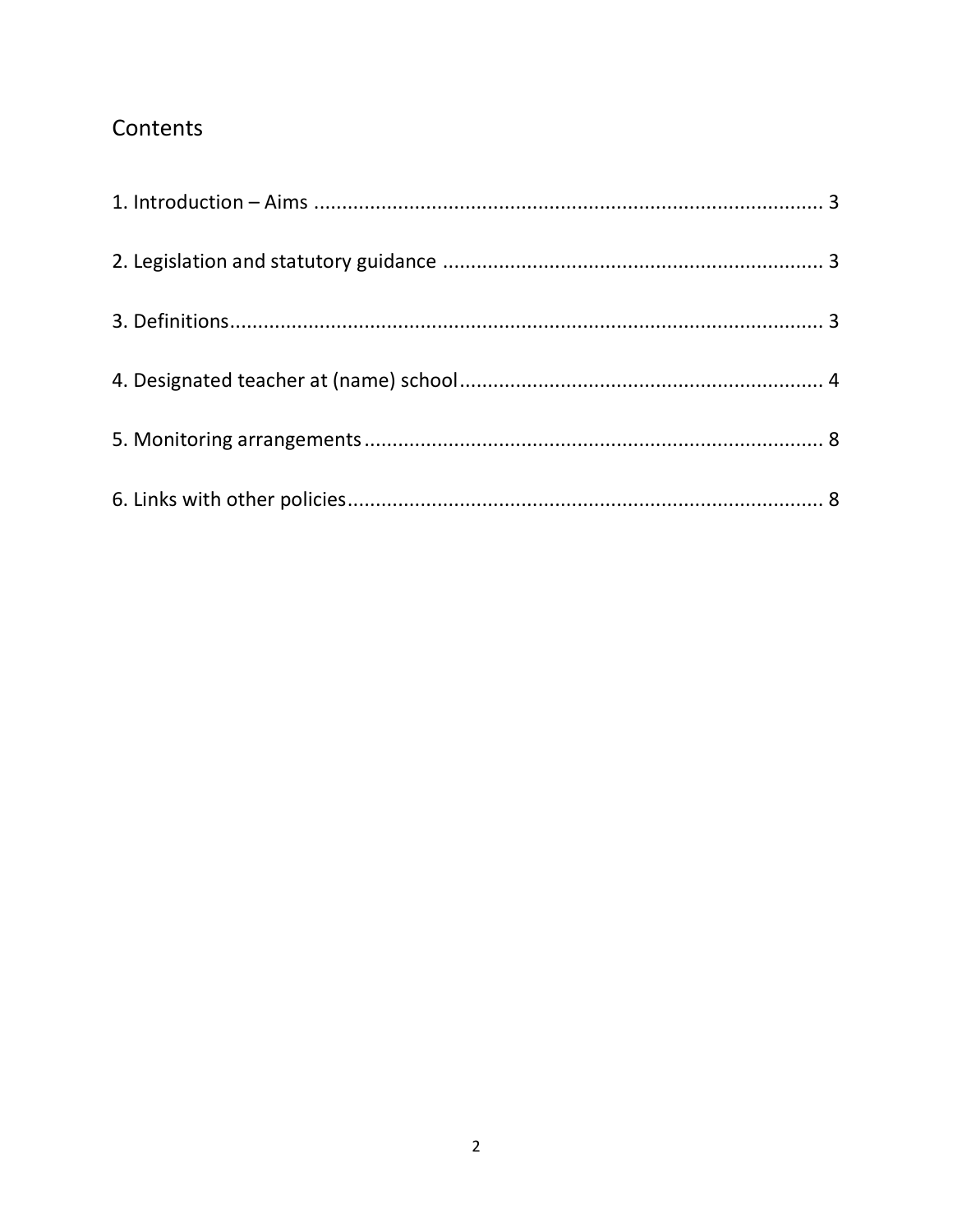# Contents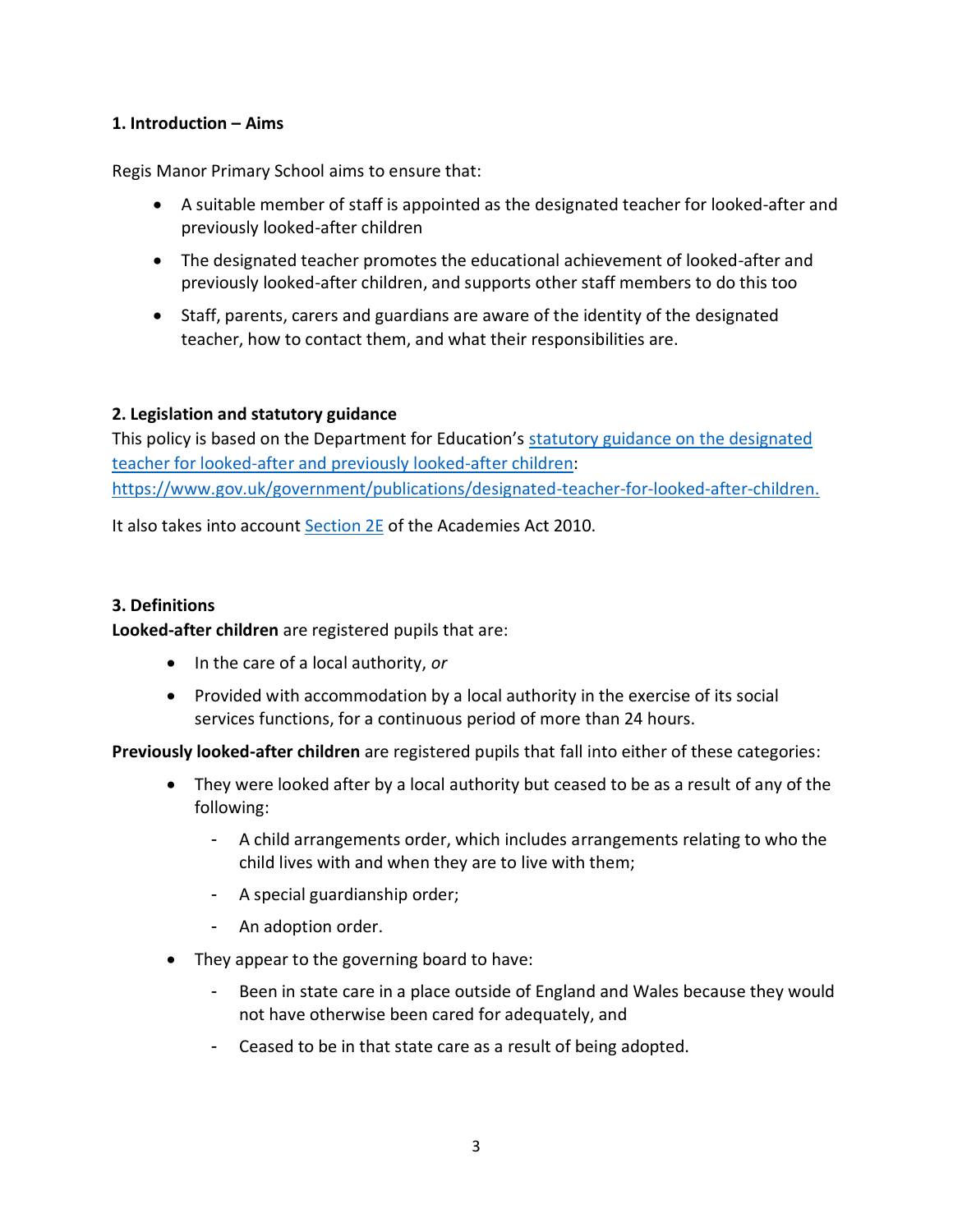## <span id="page-2-0"></span>**1. Introduction – Aims**

Regis Manor Primary School aims to ensure that:

- A suitable member of staff is appointed as the designated teacher for looked-after and previously looked-after children
- The designated teacher promotes the educational achievement of looked-after and previously looked-after children, and supports other staff members to do this too
- Staff, parents, carers and guardians are aware of the identity of the designated teacher, how to contact them, and what their responsibilities are.

# <span id="page-2-1"></span>**2. Legislation and statutory guidance**

This policy is based on the Department for Education's [statutory guidance on the designated](https://www.gov.uk/government/publications/designated-teacher-for-looked-after-children)  [teacher for looked-after and previously looked-after children:](https://www.gov.uk/government/publications/designated-teacher-for-looked-after-children) [https://www.gov.uk/government/publications/designated-teacher-for-looked-after-children.](https://www.gov.uk/government/publications/designated-teacher-for-looked-after-children)

It also takes into account [Section 2E](http://www.legislation.gov.uk/ukpga/2010/32/section/2E) of the Academies Act 2010.

# <span id="page-2-2"></span>**3. Definitions**

**Looked-after children** are registered pupils that are:

- In the care of a local authority, *or*
- Provided with accommodation by a local authority in the exercise of its social services functions, for a continuous period of more than 24 hours.

**Previously looked-after children** are registered pupils that fall into either of these categories:

- They were looked after by a local authority but ceased to be as a result of any of the following:
	- A child arrangements order, which includes arrangements relating to who the child lives with and when they are to live with them;
	- A special guardianship order;
	- An adoption order.
- They appear to the governing board to have:
	- Been in state care in a place outside of England and Wales because they would not have otherwise been cared for adequately, and
	- Ceased to be in that state care as a result of being adopted.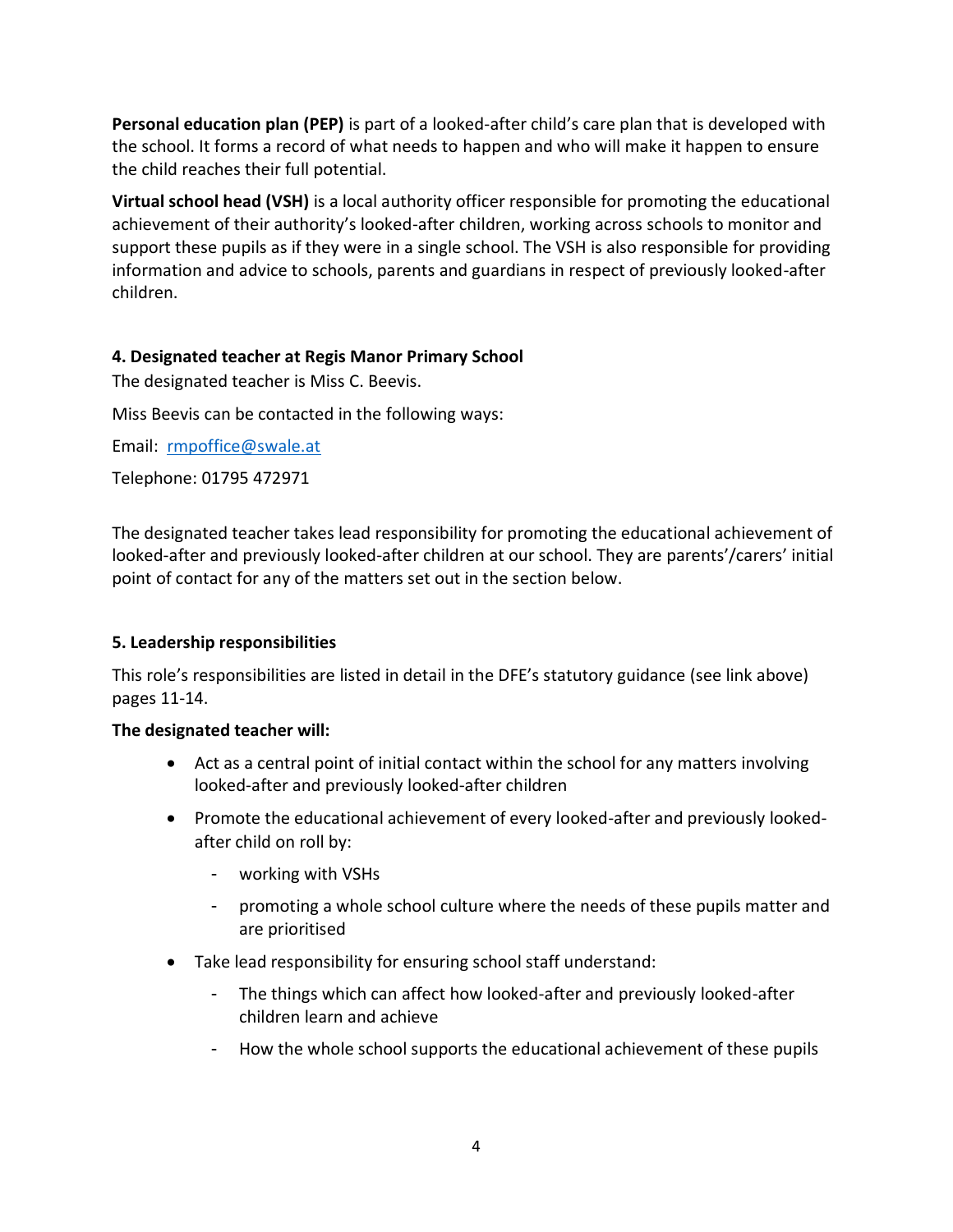**Personal education plan (PEP)** is part of a looked-after child's care plan that is developed with the school. It forms a record of what needs to happen and who will make it happen to ensure the child reaches their full potential.

**Virtual school head (VSH)** is a local authority officer responsible for promoting the educational achievement of their authority's looked-after children, working across schools to monitor and support these pupils as if they were in a single school. The VSH is also responsible for providing information and advice to schools, parents and guardians in respect of previously looked-after children.

# <span id="page-3-0"></span>**4. Designated teacher at Regis Manor Primary School**

The designated teacher is Miss C. Beevis.

Miss Beevis can be contacted in the following ways:

Email: [rmpoffice@swale.at](mailto:rmpoffice@swale.at)

Telephone: 01795 472971

The designated teacher takes lead responsibility for promoting the educational achievement of looked-after and previously looked-after children at our school. They are parents'/carers' initial point of contact for any of the matters set out in the section below.

# **5. Leadership responsibilities**

This role's responsibilities are listed in detail in the DFE's statutory guidance (see link above) pages 11-14.

- Act as a central point of initial contact within the school for any matters involving looked-after and previously looked-after children
- Promote the educational achievement of every looked-after and previously lookedafter child on roll by:
	- working with VSHs
	- promoting a whole school culture where the needs of these pupils matter and are prioritised
- Take lead responsibility for ensuring school staff understand:
	- The things which can affect how looked-after and previously looked-after children learn and achieve
	- How the whole school supports the educational achievement of these pupils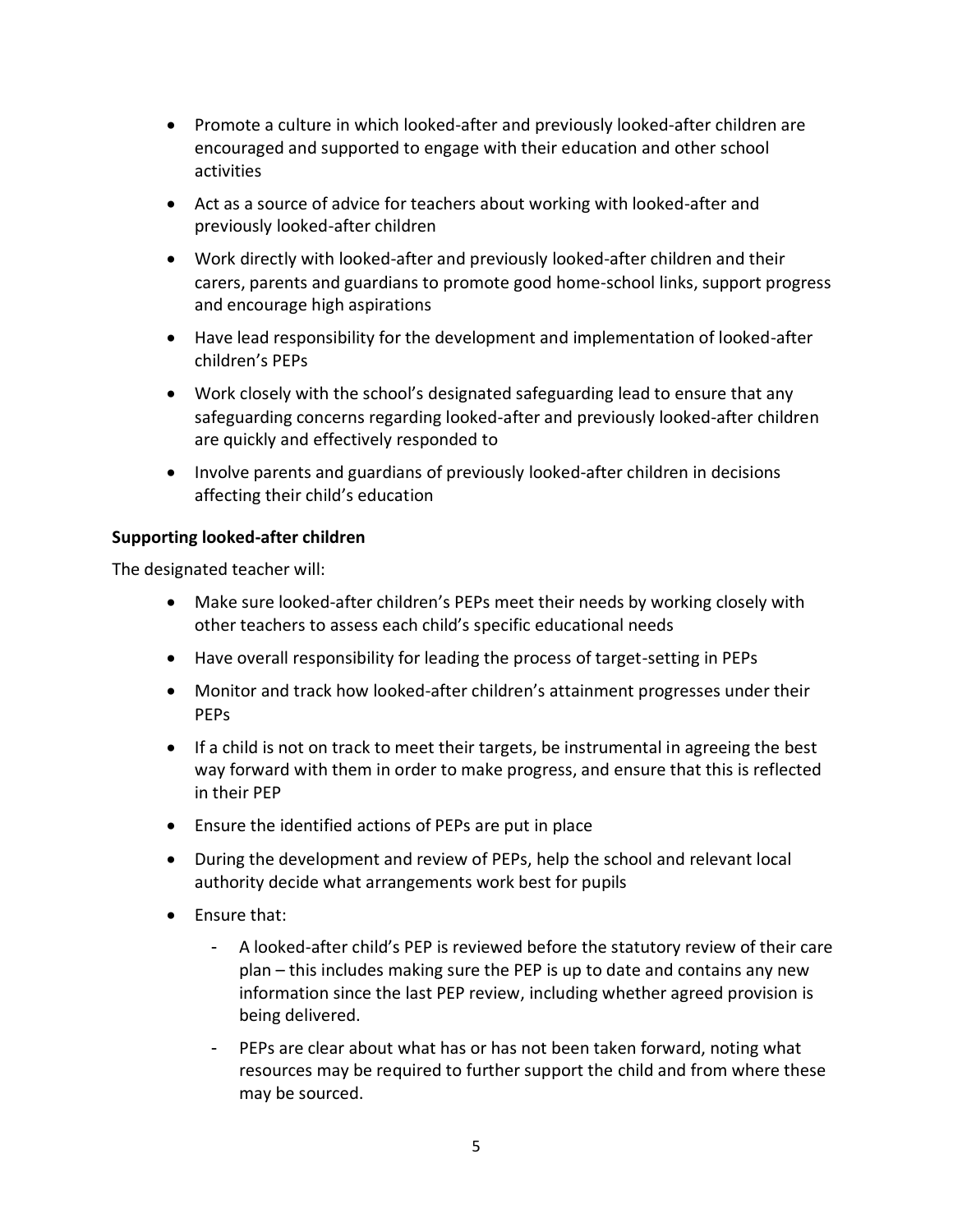- Promote a culture in which looked-after and previously looked-after children are encouraged and supported to engage with their education and other school activities
- Act as a source of advice for teachers about working with looked-after and previously looked-after children
- Work directly with looked-after and previously looked-after children and their carers, parents and guardians to promote good home-school links, support progress and encourage high aspirations
- Have lead responsibility for the development and implementation of looked-after children's PEPs
- Work closely with the school's designated safeguarding lead to ensure that any safeguarding concerns regarding looked-after and previously looked-after children are quickly and effectively responded to
- Involve parents and guardians of previously looked-after children in decisions affecting their child's education

# **Supporting looked-after children**

- Make sure looked-after children's PEPs meet their needs by working closely with other teachers to assess each child's specific educational needs
- Have overall responsibility for leading the process of target-setting in PEPs
- Monitor and track how looked-after children's attainment progresses under their PEPs
- If a child is not on track to meet their targets, be instrumental in agreeing the best way forward with them in order to make progress, and ensure that this is reflected in their PEP
- Ensure the identified actions of PEPs are put in place
- During the development and review of PEPs, help the school and relevant local authority decide what arrangements work best for pupils
- Ensure that:
	- A looked-after child's PEP is reviewed before the statutory review of their care plan – this includes making sure the PEP is up to date and contains any new information since the last PEP review, including whether agreed provision is being delivered.
	- PEPs are clear about what has or has not been taken forward, noting what resources may be required to further support the child and from where these may be sourced.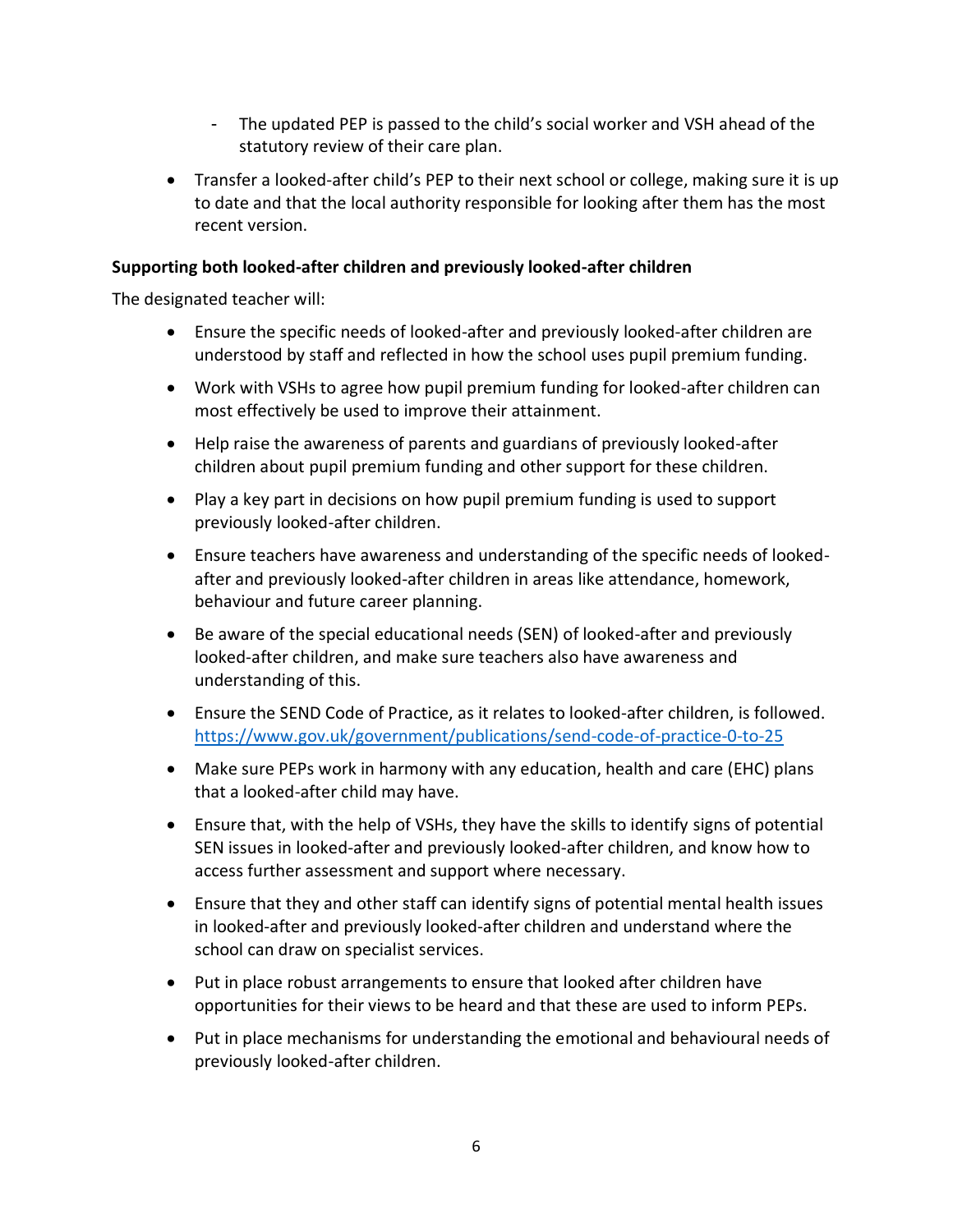- The updated PEP is passed to the child's social worker and VSH ahead of the statutory review of their care plan.
- Transfer a looked-after child's PEP to their next school or college, making sure it is up to date and that the local authority responsible for looking after them has the most recent version.

# **Supporting both looked-after children and previously looked-after children**

- Ensure the specific needs of looked-after and previously looked-after children are understood by staff and reflected in how the school uses pupil premium funding.
- Work with VSHs to agree how pupil premium funding for looked-after children can most effectively be used to improve their attainment.
- Help raise the awareness of parents and guardians of previously looked-after children about pupil premium funding and other support for these children.
- Play a key part in decisions on how pupil premium funding is used to support previously looked-after children.
- Ensure teachers have awareness and understanding of the specific needs of lookedafter and previously looked-after children in areas like attendance, homework, behaviour and future career planning.
- Be aware of the special educational needs (SEN) of looked-after and previously looked-after children, and make sure teachers also have awareness and understanding of this.
- Ensure the SEND Code of Practice, as it relates to looked-after children, is followed. <https://www.gov.uk/government/publications/send-code-of-practice-0-to-25>
- Make sure PEPs work in harmony with any education, health and care (EHC) plans that a looked-after child may have.
- Ensure that, with the help of VSHs, they have the skills to identify signs of potential SEN issues in looked-after and previously looked-after children, and know how to access further assessment and support where necessary.
- Ensure that they and other staff can identify signs of potential mental health issues in looked-after and previously looked-after children and understand where the school can draw on specialist services.
- Put in place robust arrangements to ensure that looked after children have opportunities for their views to be heard and that these are used to inform PEPs.
- Put in place mechanisms for understanding the emotional and behavioural needs of previously looked-after children.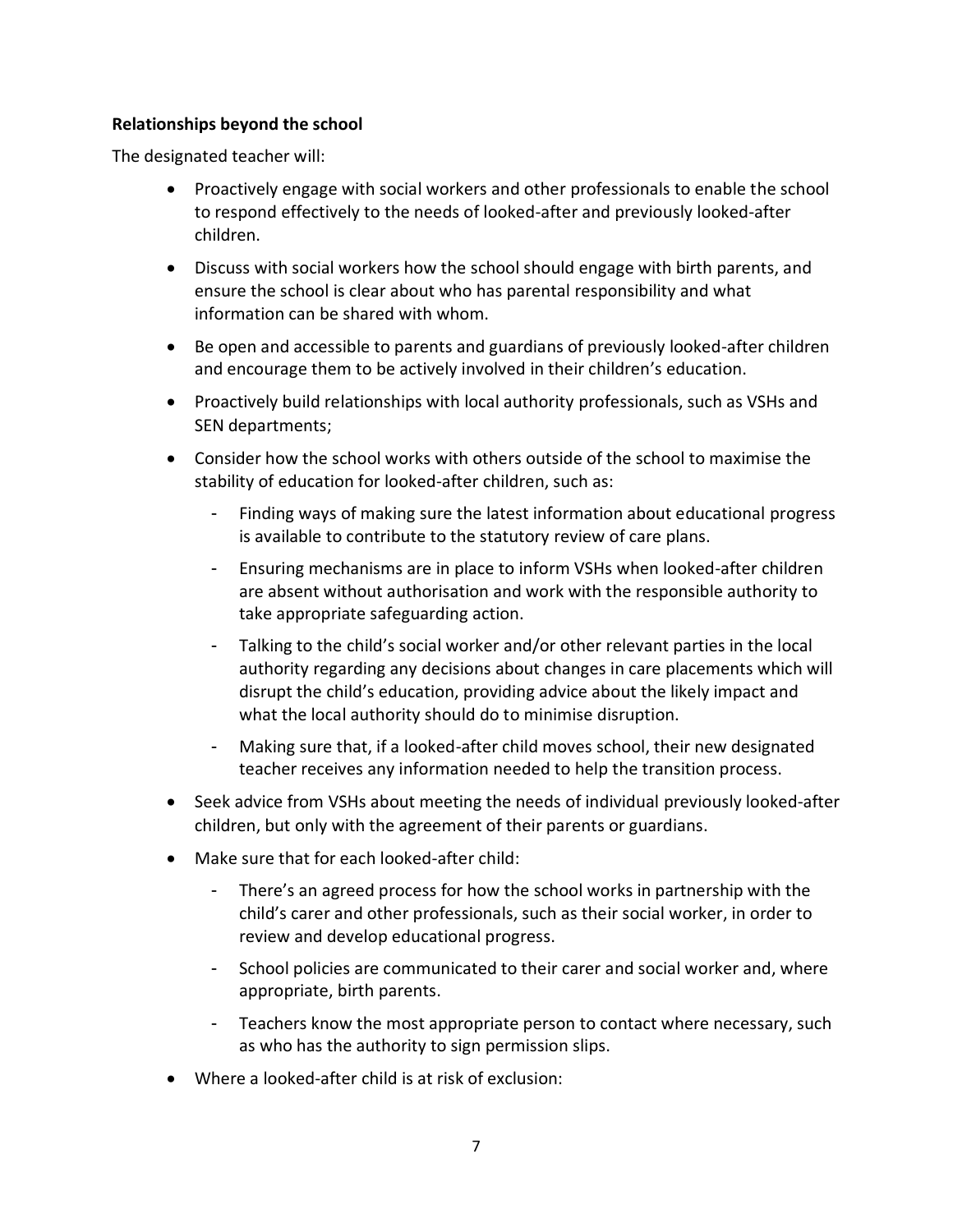## **Relationships beyond the school**

- Proactively engage with social workers and other professionals to enable the school to respond effectively to the needs of looked-after and previously looked-after children.
- Discuss with social workers how the school should engage with birth parents, and ensure the school is clear about who has parental responsibility and what information can be shared with whom.
- Be open and accessible to parents and guardians of previously looked-after children and encourage them to be actively involved in their children's education.
- Proactively build relationships with local authority professionals, such as VSHs and SEN departments;
- Consider how the school works with others outside of the school to maximise the stability of education for looked-after children, such as:
	- Finding ways of making sure the latest information about educational progress is available to contribute to the statutory review of care plans.
	- Ensuring mechanisms are in place to inform VSHs when looked-after children are absent without authorisation and work with the responsible authority to take appropriate safeguarding action.
	- Talking to the child's social worker and/or other relevant parties in the local authority regarding any decisions about changes in care placements which will disrupt the child's education, providing advice about the likely impact and what the local authority should do to minimise disruption.
	- Making sure that, if a looked-after child moves school, their new designated teacher receives any information needed to help the transition process.
- Seek advice from VSHs about meeting the needs of individual previously looked-after children, but only with the agreement of their parents or guardians.
- Make sure that for each looked-after child:
	- There's an agreed process for how the school works in partnership with the child's carer and other professionals, such as their social worker, in order to review and develop educational progress.
	- School policies are communicated to their carer and social worker and, where appropriate, birth parents.
	- Teachers know the most appropriate person to contact where necessary, such as who has the authority to sign permission slips.
- Where a looked-after child is at risk of exclusion: